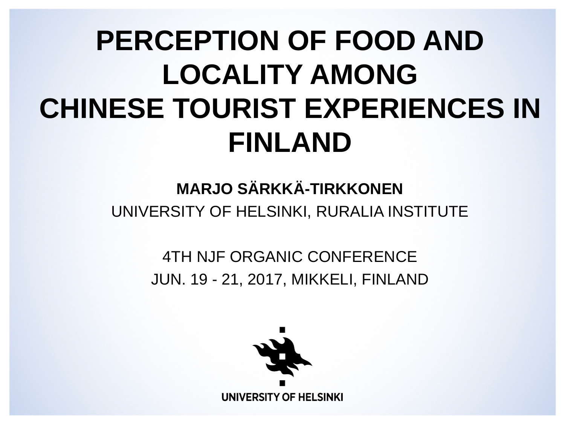#### **PERCEPTION OF FOOD AND LOCALITY AMONG CHINESE TOURIST EXPERIENCES IN FINLAND**

#### **MARJO SÄRKKÄ-TIRKKONEN** UNIVERSITY OF HELSINKI, RURALIA INSTITUTE

#### 4TH NJF ORGANIC CONFERENCE JUN. 19 - 21, 2017, MIKKELI, FINLAND

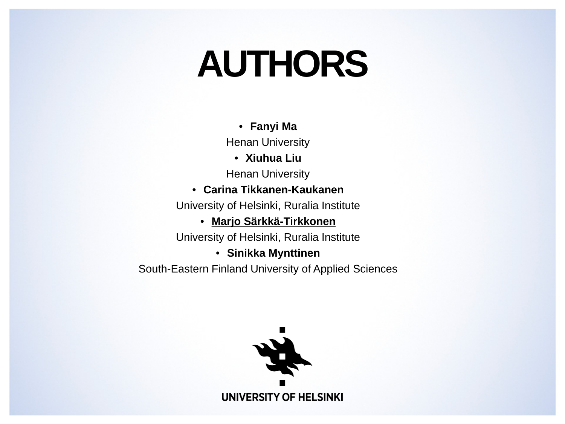### **AUTHORS**

• **Fanyi Ma**

Henan University

• **Xiuhua Liu**

Henan University

#### • **Carina Tikkanen-Kaukanen**

University of Helsinki, Ruralia Institute

#### • **Marjo Särkkä-Tirkkonen**

University of Helsinki, Ruralia Institute

• **Sinikka Mynttinen**

South-Eastern Finland University of Applied Sciences

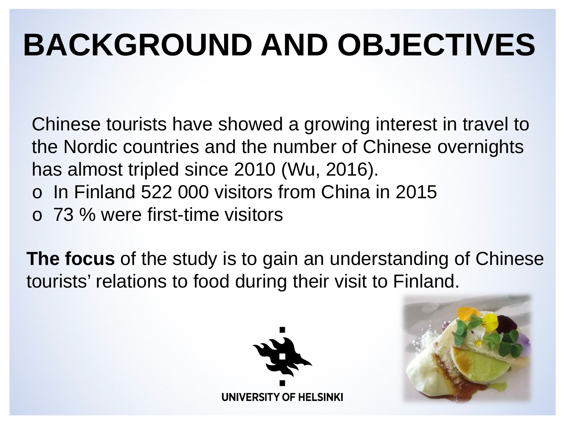### **BACKGROUND AND OBJECTIVES**

Chinese tourists have showed a growing interest in travel to the Nordic countries and the number of Chinese overnights has almost tripled since 2010 (Wu, 2016).

- o In Finland 522 000 visitors from China in 2015
- o 73 % were first-time visitors

**The focus** of the study is to gain an understanding of Chinese tourists' relations to food during their visit to Finland.



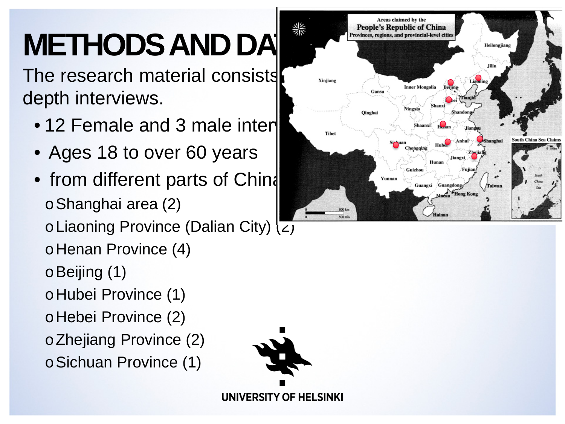## **METHODS AND DAT**

The research material consists  $\sum_{x_{\text{injians}}}$ depth interviews.

- 12 Female and 3 male inter $\blacksquare$
- Ages 18 to over 60 years
- from different parts of Chind oShanghai area (2)
	- oLiaoning Province (Dalian City) (2)
	- oHenan Province (4)
	- oBeijing (1)
	- oHubei Province (1)
	- oHebei Province (2)

oZhejiang Province (2)

oSichuan Province (1)



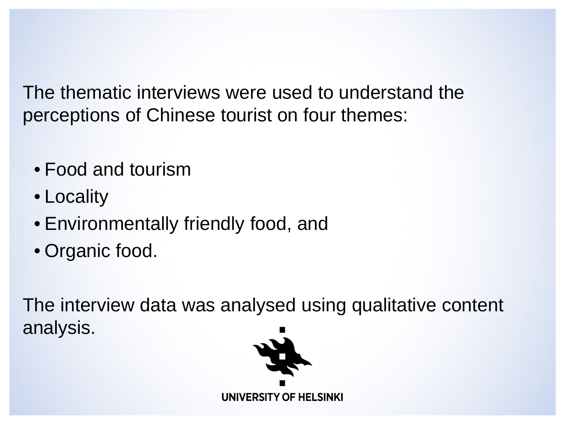The thematic interviews were used to understand the perceptions of Chinese tourist on four themes:

- Food and tourism
- Locality
- Environmentally friendly food, and
- Organic food.

The interview data was analysed using qualitative content analysis.

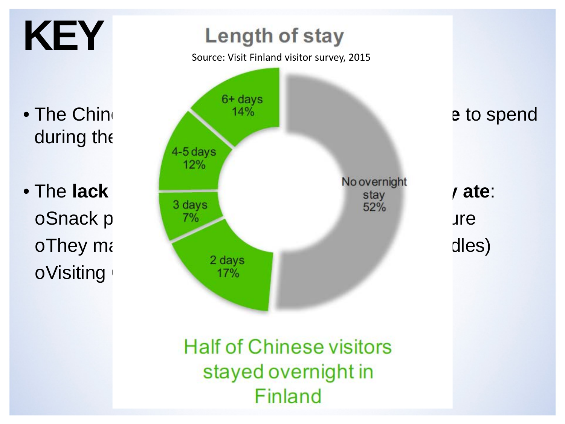

**Half of Chinese visitors** stayed overnight in Finland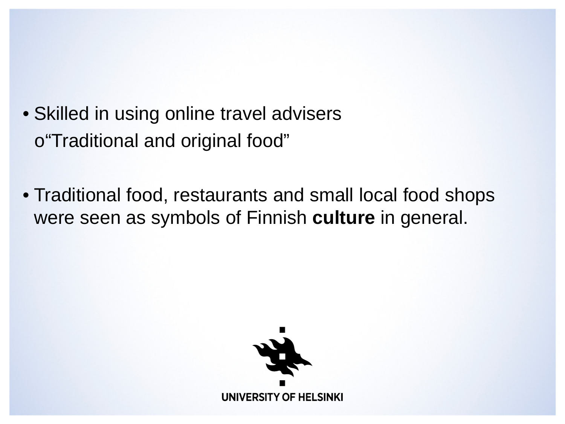- Skilled in using online travel advisers o "Traditional and original food"
- Traditional food, restaurants and small local food shops were seen as symbols of Finnish **culture** in general.

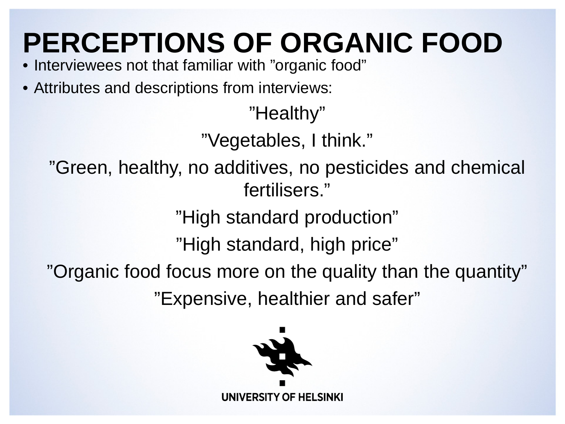#### **PERCEPTIONS OF ORGANIC FOOD**

- Interviewees not that familiar with "organic food"
- Attributes and descriptions from interviews:

"Healthy"

"Vegetables, I think."

"Green, healthy, no additives, no pesticides and chemical fertilisers."

"High standard production"

"High standard, high price"

"Organic food focus more on the quality than the quantity"

"Expensive, healthier and safer"

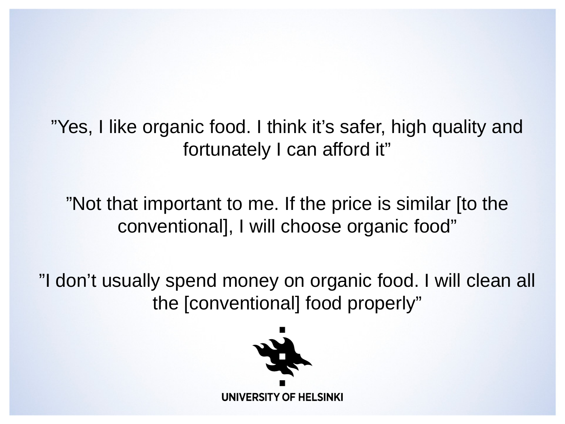"Yes, I like organic food. I think it's safer, high quality and fortunately I can afford it"

"Not that important to me. If the price is similar [to the conventional], I will choose organic food"

"I don't usually spend money on organic food. I will clean all the [conventional] food properly"

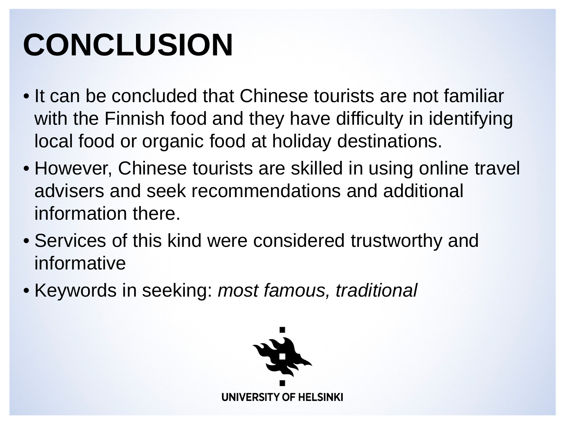### **CONCLUSION**

- It can be concluded that Chinese tourists are not familiar with the Finnish food and they have difficulty in identifying local food or organic food at holiday destinations.
- However, Chinese tourists are skilled in using online travel advisers and seek recommendations and additional information there.
- Services of this kind were considered trustworthy and informative
- Keywords in seeking: *most famous, traditional*

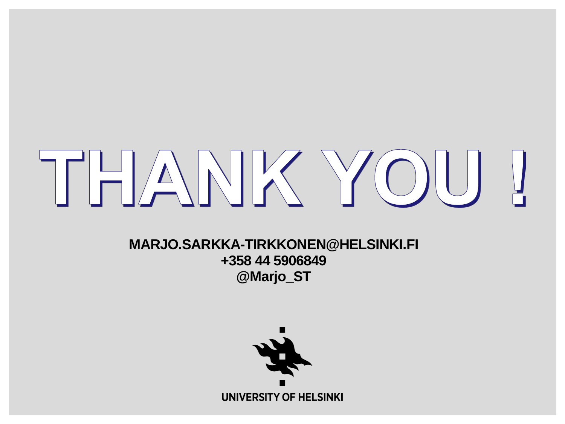# THANK YOU

**MARJO.SARKKA-TIRKKONEN@HELSINKI.FI +358 44 5906849 @Marjo\_ST**